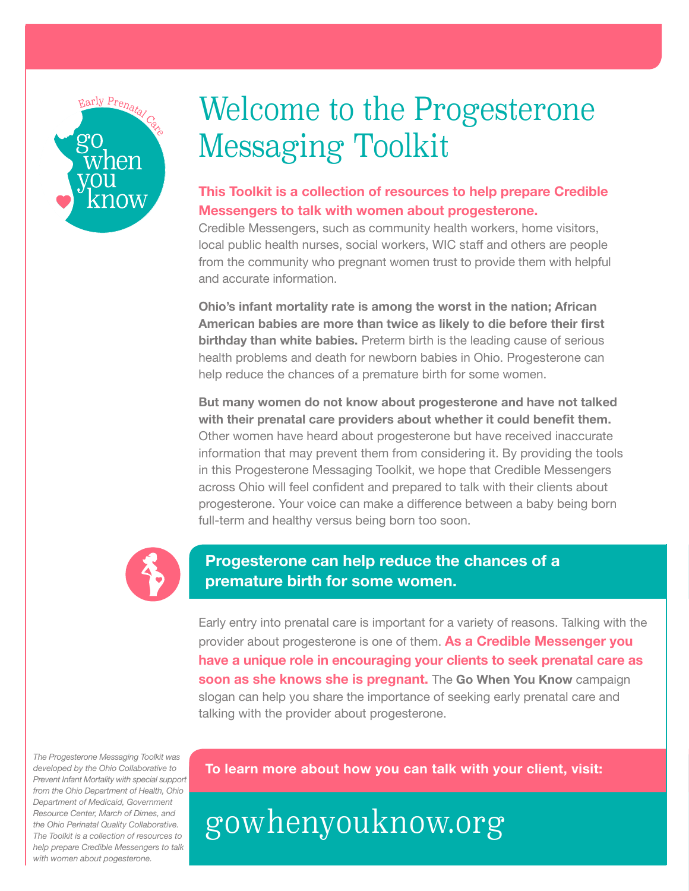

# Welcome to the Progesterone Messaging Toolkit

## **This Toolkit is a collection of resources to help prepare Credible Messengers to talk with women about progesterone.**

Credible Messengers, such as community health workers, home visitors, local public health nurses, social workers, WIC staff and others are people from the community who pregnant women trust to provide them with helpful and accurate information.

**Ohio's infant mortality rate is among the worst in the nation; African American babies are more than twice as likely to die before their first birthday than white babies.** Preterm birth is the leading cause of serious health problems and death for newborn babies in Ohio. Progesterone can help reduce the chances of a premature birth for some women.

**But many women do not know about progesterone and have not talked with their prenatal care providers about whether it could benefit them.**  Other women have heard about progesterone but have received inaccurate information that may prevent them from considering it. By providing the tools in this Progesterone Messaging Toolkit, we hope that Credible Messengers across Ohio will feel confident and prepared to talk with their clients about progesterone. Your voice can make a difference between a baby being born full-term and healthy versus being born too soon.



# **Progesterone can help reduce the chances of a premature birth for some women.**

Early entry into prenatal care is important for a variety of reasons. Talking with the provider about progesterone is one of them. **As a Credible Messenger you have a unique role in encouraging your clients to seek prenatal care as soon as she knows she is pregnant.** The **Go When You Know** campaign slogan can help you share the importance of seeking early prenatal care and talking with the provider about progesterone.

*The Progesterone Messaging Toolkit was developed by the Ohio Collaborative to Prevent Infant Mortality with special support from the Ohio Department of Health, Ohio Department of Medicaid, Government Resource Center, March of Dimes, and the Ohio Perinatal Quality Collaborative. The Toolkit is a collection of resources to help prepare Credible Messengers to talk with women about pogesterone.*

**To learn more about how you can talk with your client, visit:** 

gowhenyouknow.org